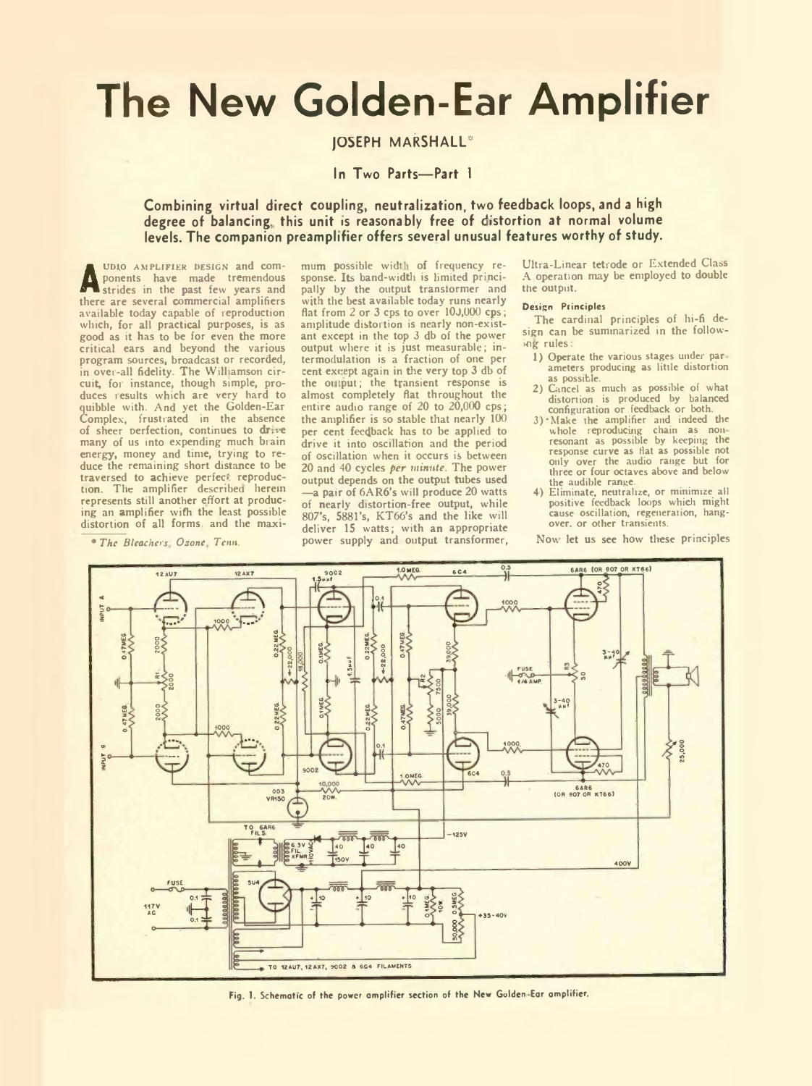# **The New Golden-Ear Amplifier**

## JOSEPH MARSHALL\*

## **In Two Parts— Part 1**

## **Combining virtual direct coupling, neutralization, two feedback loops, and a high** degree of balancing, this unit is reasonably free of distortion at normal volume **levels. The companion preamplifier offers several unusual features worthy of study.**

**A** ponents have made tremendous<br>strides in the past few years and<br>there are coursel commercial analifiers udio AMPLIFIER DESIGN and com-<br>ponents have made tremendous there are several commercial amplifiers available today capable of reproduction which, for all practical purposes, is as good as it has to be for even the more critical ears and beyond the various program sources, broadcast or recorded, in over-all fidelity. The Williamson cir-cuit, for instance, though simple, produces results which are very hard to quibble with. And yet the Golden-Ear Complex, frustrated in the absence of sheer perfection, continues to drive many of us into expending much brain energy, money and time, trying to reduce the remaining short distance to be traversed to achieve perfect reproduction. The amplifier described herein represents still another effort at producing an amplifier with the least possible distortion of all forms, and the maxi

*\* The Bleachers Oscne Tcnn.*

mum possible width of frequency response. Its band-width is limited principally by the output transformer and with the best available today runs nearly flat from 2 or 3 cps to over 10J,000 cps; amplitude distortion is nearly non-existant except in the top 3 db of the power output where it is just measurable; intermodulation is a fraction of one per cent except again in the very top 3 db of the oi tput; the transient response is almost completely flat throughout the entire audio range of 20 to 20,000 cps; the amplifier is so stable that nearly 100 per cent feedback has to be applied to drive it into oscillation and the period of oscillation when it occurs is between 20 and 40 cycles *per minute.* The power output depends on the output tubes used —a pair of 6AR6's will produce 20 watts of nearly distortion-free output, while 807's, 5881's, KT66's and the like will deliver 15 watts; with an appropriate power supply and output transformer,

Ultra-Linear tetrode or Extended Class A operation may be employed to double the output.

#### Design Principles

The cardinal principles of hi-fi design can be summarized in the following rules:

- 1) Operate the various stages under par ameters producing as little distortion as possible.
- 2) Cancel as much as possible of what distortion is produced by balanced configuration or feedback or both.
- 3) 'Make the amplifier and indeed the whole reproducing chain as non resonant as possible by keeping the response curve as flat as possible not only over the audio range but for three or four octaves above and below the audible range.
- 4) Eliminate, neutralize, or minimize all positive feedback loops which might cause oscillation, regeneration, hangover. or other transients.

Nov. let us see how these principles



Fig. 1. Schematic of the power amplifier section of the New Golden Ear amplifier.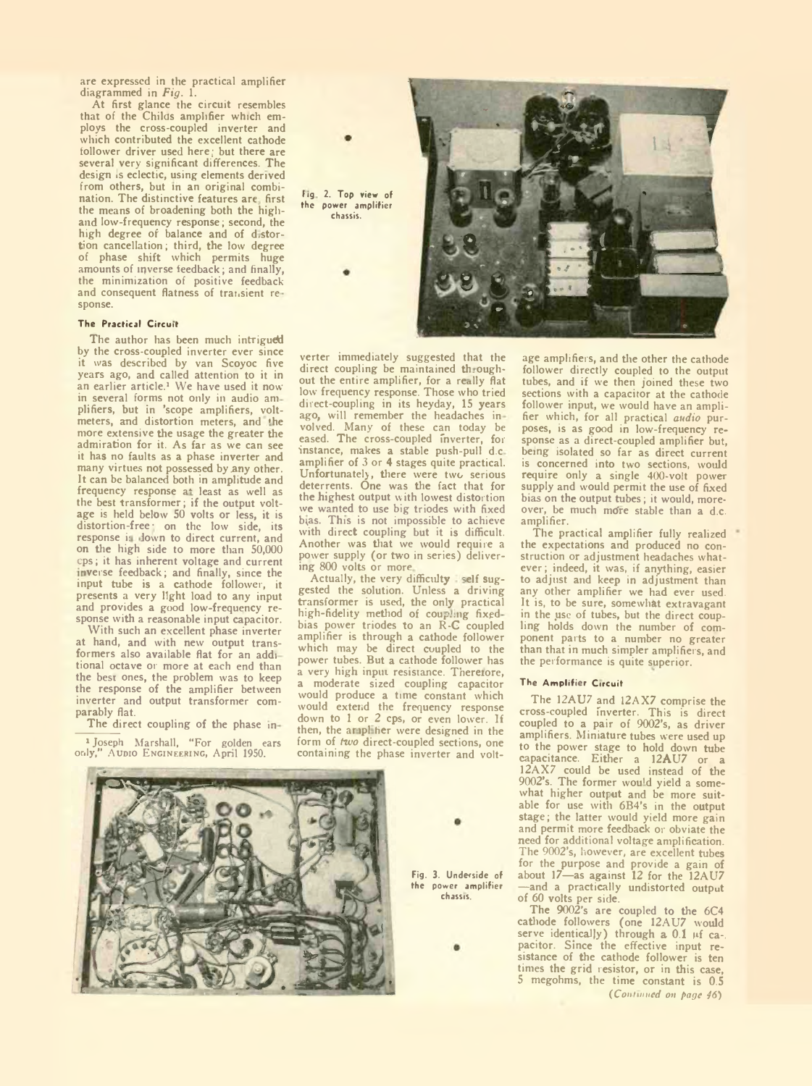are expressed in the practical amplifier diagrammed in *Fig.* 1.

At first glance the circuit resembles that of the Childs amplifier which employs the cross-coupled inverter and which contributed the excellent cathode follower driver used here; but there are several very significant differences. The design is eclectic, using elements derived from others, but in an original combination. The distinctive features are first the means of broadening both the higliand low-frequency response; second, the high degree of balance and of d.stortion cancellation; third, the low degree of phase shift which permits huge amounts of inverse feedback; and finally, the minimization of positive feedback and consequent flatness of transient response.

### The Practical Circuit

The author has been much intrigued by the cross-coupled inverter ever since it was described by van Scoyoc five years ago, and called attention to it in an earlier article.<sup>1</sup> We have used it now in several forms not only in audio am plifiers, but in 'scope amplifiers, voltmeters, and distortion meters, and 'he more extensive the usage the greater the admiration for it. As far as we can see it has no faults as a phase inverter and many virtues not possessed by any other. It can be balanced both in amplitude and frequency response at least as well as the best transformer; if the output voltage is held below 50 volts or less, it is distortion-free: on the low side, its response is down to direct current, and on the high side to more than 50,000 cps; it has inherent voltage and current inverse feedback; and finally, since the input tube is a cathode follower, it presents a very light load to any input and provides a good low-frequency response with a reasonable input capacitor.

With such an excellent phase inverter at hand, and with new output transformers also available flat for an addi tional octave or more at each end than the best ones, the problem was to keep the response of the amplifier between inverter and output transformer comparably flat.

The direct coupling of the phase in-

<sup>1</sup> Joseph Marshall, "For golden ears<br>only," Aupio ENGINEERING, April 1950. AUDIO ENGINEERING, April 1950.



verter immediately suggested that the direct coupling be maintained throughout the entire amplifier, for a really flat low frequency response. Those who tried direct-coupling in its heyday, 15 years ago, will remember the headaches in volved. Many of these can today be eased. The cross-coupled Inverter, for instance, makes a stable push-pull d.c amplifier of 3 or 4 stages quite practical. Unfortunately, there were two serious deterrents. One was the fact that for the highest output with lowest distortion we wanted to use big triodes with fixed b;as. This is not impossible to achieve with direct coupling but it is difficult. Another was that we would require a power supply (or two in series) delivering 800 volts or more

Actually, the very difficulty self suggested the solution. Unless a driving transformer is used, the only practical high-fidelity method of coupling fixedbias power triodes to an R-C coupled amplifier is through a cathode follower which may be direct coupled to the power tubes. But a cathode follower has a very high input resistance. Theretore, a moderate sized coupling capacitor would produce a time constant which would extend the frequency response down to 1 or 2 cps, or even lower. If then, the amplitier were designed in the form of *two* direct-coupled sections, one containing the phase inverter and volt-



Fig. 3. Underside of the power amplifier chassis.

age amplifiers, and the other the cathode follower directly coupled to the output tubes, and if we then joined these two sections with a capacitor at the cathode follower input, we would have an amplifier which, for all practical *audio* purposes, is as good in low-frequency response as a direct-coupled amplifier but, being isolated so far as direct current is concerned into two sections, would require only a single 400-voit power supply and would permit the use of fixed bias on the output tubes; it would, moreover, be much mdre stable than a d.c. amplifier.

The practical amplifier fully realized the expectations and produced no construction or adjustment headaches whatever ; indeed, it was, if anything, easier to adjust and keep in adjustment than any other amplifier we had ever used. It is, to be sure, somewhat extravagant in the use of tubes, but the direct coupling holds down the number of component parts to a number no greater than that in much simpler amplifiers, and the performance is quite superior.

#### The Amplifier Circuit

The 12AU7 and 12AX7 comprise the cross-coupled Inverter. This is direct coupled to a pair of 9002's, as driver amplifiers. Miniature tubes were used up to the power stage to hold down tube capacitance. Either a 12AU7 or a 12AX7 could be used instead of the 9002's. The former wou'd yield a somewhat higher output and be more suitable for use with 6B4's in the output stage; the latter would yield more gain and permit more feedback or obviate the need for additional voltage amplification. The 9002's, however, are excellent tubes for the purpose and provide a gain of about 17—as against 12 for the 12AU7 —and a practically undistorted output of 60 volts per side.

The 9002's are coupled to the 6C4 cathode followers (one 12AU7 would<br>serve identically) through a 0.1 µf ca-. pacitor. Since the effective input resistance of the cathode follower is ten times the grid resistor, or in this case, S megohms, the time constant is 0.5 *(Contained on page 46)*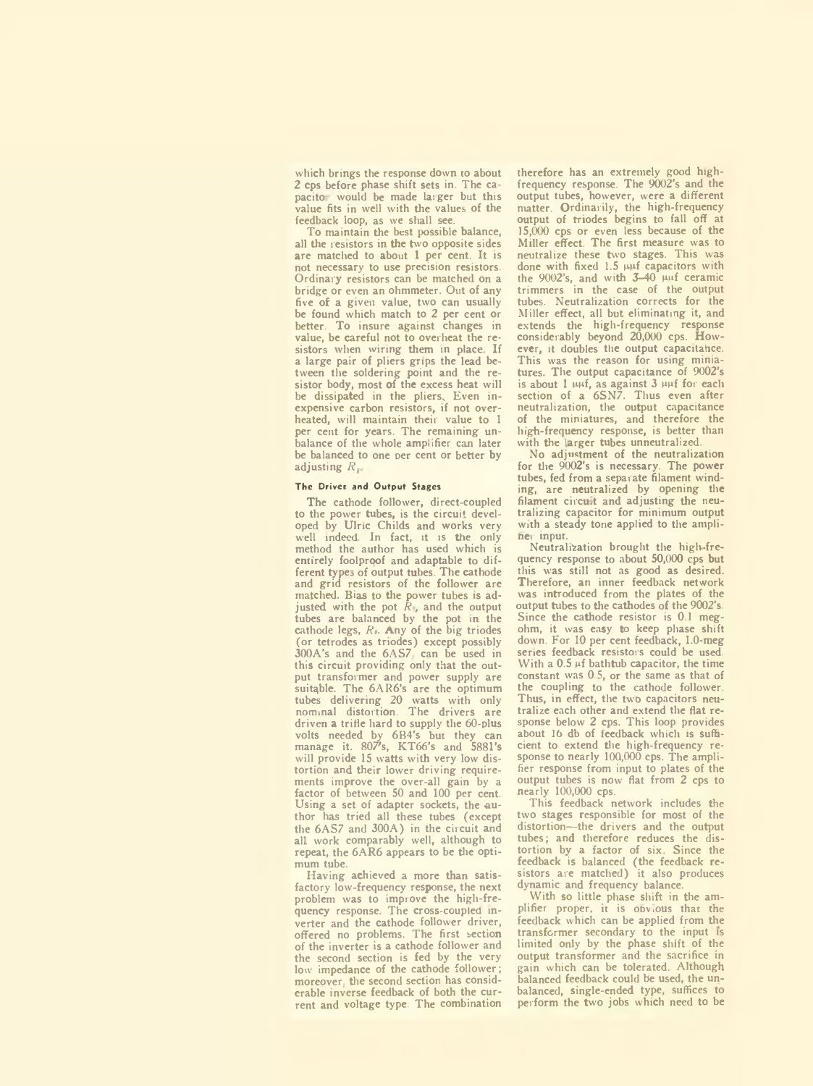which brings the response down to about 2 cps before phase shift sets in. The ca pacito: would be made larger but this value fits in well with the values of the feedback loop, as we shall see.

To maintain the best possible balance, all the resistors in the two opposite sides are matched to about 1 per cent. It is not necessary to use precision resistors. Ordinary resistors can be matched on a bridge or even an ohmmeter. Out of any five of a given value, two can usually be found which match to 2 per cent or better. To insure against changes in value, be careful not to overheat the resistors when wiring them in place. If a large pair of pliers grips the lead between the soldering point and the resistor body, most of the excess heat will be dissipated in the pliers, Even inexpensive carbon resistors, if not overheated, will maintain their value to 1 per cent for years. The remaining unbalance of the whole amplifier can later be balanced to one per cent or better by adjusting *R*

#### The Driver and Output Stages

The cathode follower, direct-coupled to the power tubes, is the circuit developed by Ulric Childs and works very well indeed. In fact, it is the only method the author has used which is entirely foolproof and adaptable to different types of output tubes. The cathode and grid resistors of the follower are matched. Bias to the power tubes is ad-justed with the pot *R ,* and the output tubes are balanced by the pot in the cathode legs, *R,.* Any of the big triodes (or tetrodes as triodes) except possibly 300A's and the 6AS7 can be used in this circuit providing only that the output transformer and power supply are suitable. The 6AR6's are the optimum tubes delivering 20 watts with only nominal distortion. The drivers are driven a trifle hard to supply the 60-plus volts needed by 6B4's but they can manage it. 807's, KT66's and 5881's will provide 15 watts with very low distortion and their lower driving requirements improve the over-all gain by a factor of between 50 and 100 per cent. Using a set of adapter sockets, the au thor has tried all these tubes (except the 6AS7 and 300A) in the circuit and all work comparably well, although to repeat, the 6AR6 appears to be the optimum tube.

Having achieved a more than satisfactory low-frequency response, the next problem was to improve the high-frequency response. The cross-coupled inverter and the cathode follower driver, offered no problems. The first section of the inverter is a cathode follower and the second section is fed by the very low impedance of the cathode follower; moreover, the second section has considerable inverse feedback of both the current and voltage type. The combination therefore has an extremely good highfrequency response. The 9002's and the output tubes, however, were a different matter. Ordinarily, the high-frequency output of triodes begins to fall off at 15,000 cps or even less because of the Miller effect. The first measure was to neutralize these two stages. This was done with fixed  $1.5 \mu\mu f$  capacitors with the 9002's, and with 3-40 puf ceramic trimmers in the case of the output tubes. Neutralization corrects for the Miller effect, all but eliminating it, and extends the high-frequency response considerably beyond 20,000 cps. However, it doubles the output capacitahcc. This was the reason for using miniatures. The output capacitance of 9002's is about  $1 \mu\psi$ , as against  $3 \mu\psi$  for each section of a 6SN7. Thus even after neutralization, the output capacitance of the miniatures, and therefore the high-frequency response, is better than with the larger tubes unneutralized.

No adjustment of the neutralization for the 9002's is necessary. The power tubes, fed from a separate filament winding, are neutralized by opening the filament circuit and adjusting the neutralizing capacitor for minimum output with a steady tone applied to the ampliner mput.

Neutralization brought the high-frequency response to about 50,000 cps but this was still not as good as desired. Therefore, an inner feedback network was introduced from the plates of the output tubes to the cathodes of the 9002's. Since the cathode resistor is 0.1 megohm, it was easy to keep phase shift down. For 10 per cent feedback, 1.0-meg series feedback resistors could be used. With a  $0.5 \mu f$  bathtub capacitor, the time constant was 0.5, or the same as that of the coupling to the cathode follower. Thus, in effect, the two capacitors neutralize each other and extend the flat response below 2 cps. This loop provides about 16 db of feedback which is sufficient to extend the high-frequency response to nearly 100,000 cps. The amplifier response from input to plates of the output tubes is now flat from 2 cps to nearly 100,000 cps.

This feedback network includes the two stages responsible for most of the distortion—the drivers and the output tubes; and therefore reduces the distortion by a factor of six. Since the feedback is balanced (the feedback re-sistors are matched) it also produces dynamic and frequency balance.

With so little phase shift in the amplifier proper, it is obvious that the feedback which can be applied from the transformer secondary to the input is limited only by the phase shift of the output transformer and the sacrifice in gain which can be tolerated. Although balanced feedback could be used, the unbalanced, single-ended type, suffices to perform the two jobs which need to be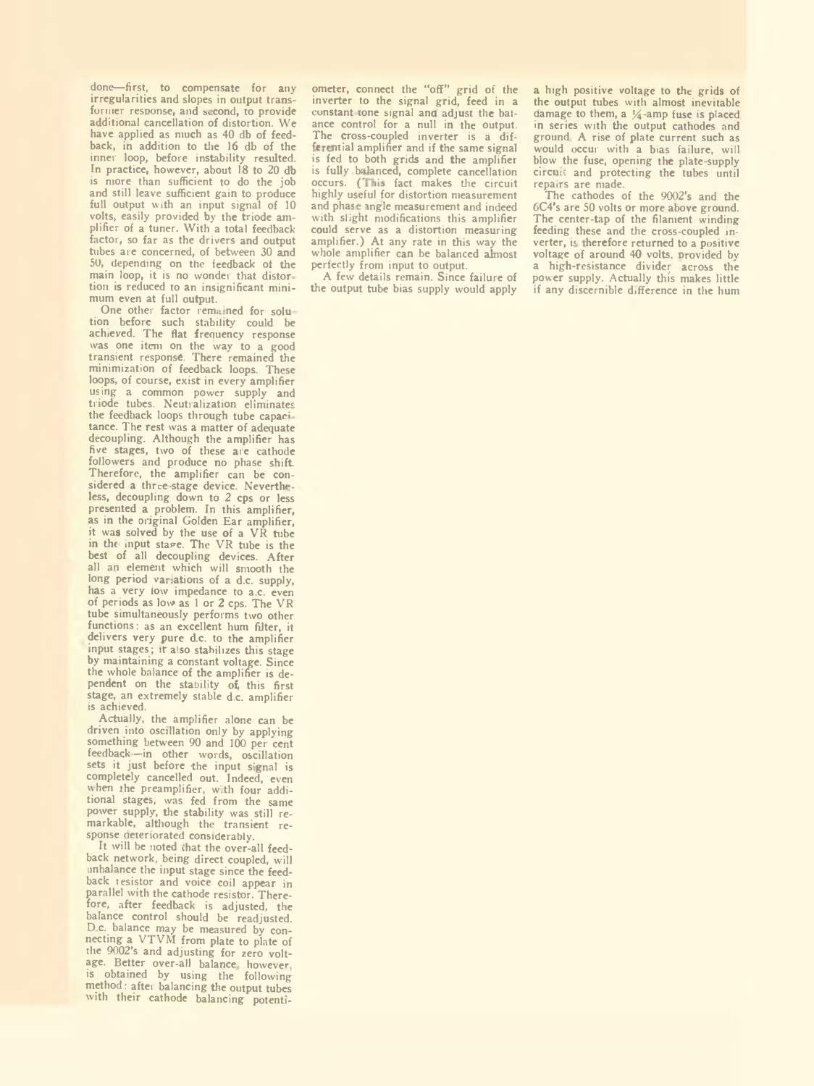done—first, to compensate for any irregularities and slopes in output transformer response, and second, to provide additional cancellation of distortion. We have applied as much as 40 db of feedback, in addition to the 16 db of the inner loop, before instability resulted. In practice, however, about 18 to 20 db is more than sufficient to do the job and still leave sufficient gain to produce full output with an input signal of 10 volts, easily provided by the triode amplifier of a tuner. With a total feedback factor, so far as the drivers and output tubes are concerned, of between 30 and 50, depending on the feedback cf the main loop, it is no wonder that distor tion is reduced to an insignificant minimum even at full output.

One other factor remained for solution before such stability could be achieved. The flat frequency response was one item on the way to a good transient response. There remained the minimization of feedback loops. These loops, of course, exist in every amplifier us ing a common power supply and triode tubes. Neutralization eliminates the feedback loops through tube capari tance. The rest was a matter of adequate decoupling. Although the amplifier has five stages, two of these are cathode followers and produce no phase shift Therefore, the amplifier can be considered a three-stage device. Nevertheless, decoupling down to 2 cps or less presented a problem. In this amplifier, as in the original Golden Ear amplifier, it was solved by the use of a  $V\hat{R}$  tube in the input stage. The VR tube is the best of all decoupling devices. After all an element which will smooth the long period variations of a d.c. supply, has a very low impedance to a.c. even of periods as low as 1 or 2 cps. The VP tube simultaneously performs two other functions: as an excellent hum filter, it delivers very pure d.c. to the amplifier input stages; it also stabilizes this stage by maintaining a constant voltage. Since the whole balance of the amplifier is dependent on the stability of this first<br>stage, an extremely stable d.c. amplifier is achieved.

Actually, the amplifier alone can be driven into oscillation only by applying something between 90 and 100 per cent feedback —in other words, oscillation<br>sets it just before the input signal is completely cancelled out. Indeed, even when the preamplifier, w.th four addi-tional stages, was fed from the same power supply, the stability was still remarkable, although the transient response deteriorated considerably.

It will be noted that the over-all feedback network, being direct coupled, will unbalance the input stage since the feedback i esistor and voice coil appear in parallel with the cathode resistor. Therefore, after feedback is adjusted, the balance control should be readjusted. D c. balance may be measured by con-necting a VTVM from plate to plate of the 9002's and adjusting for zero voltage. Better over-all balance however is obtained by using the following method: after balancing the output tubes with their cathode balancing potentiometer, connect the "off" grid of the inverter to the signal grid, feed in a constant tone signal and adjust the baiance control for a null in the output. The cross-coupled inverter is a differential amplifier and if the same signal is fed to both grids and the amplifier is fully bi lanced, complete cancellation occurs. (This fact makes the circuit highly useful for distortion measurement and phase angle measurement and indeed with slight modifications this amplifier could serve as a distortion measuring amplifier.) At any rate in this way the whole amplifier can be balanced almost perfectly from input to output.

A few details remain. Since failure of the output tube bias supply would apply

a high positive voltage to the grids of the output tubes with almost inevitable damage to them, a  $\frac{1}{4}$ -amp fuse is placed in series with the output cathodes and ground A rise of plate current such as would occur with a bias failure, will blow the fuse, opening the plate-supply circuit and protecting the tubes until repairs are made.

The cathodes of the 9002's and the 6C4's are 50 volts or more above ground. The center-tap of the filament winding feeding these and the cross-coupled inverter, is therefore returned to a positive voltage of around 40 volts, provided by a high-resistance divider across the power supply. Actually this makes little if any discernible difference in the hum